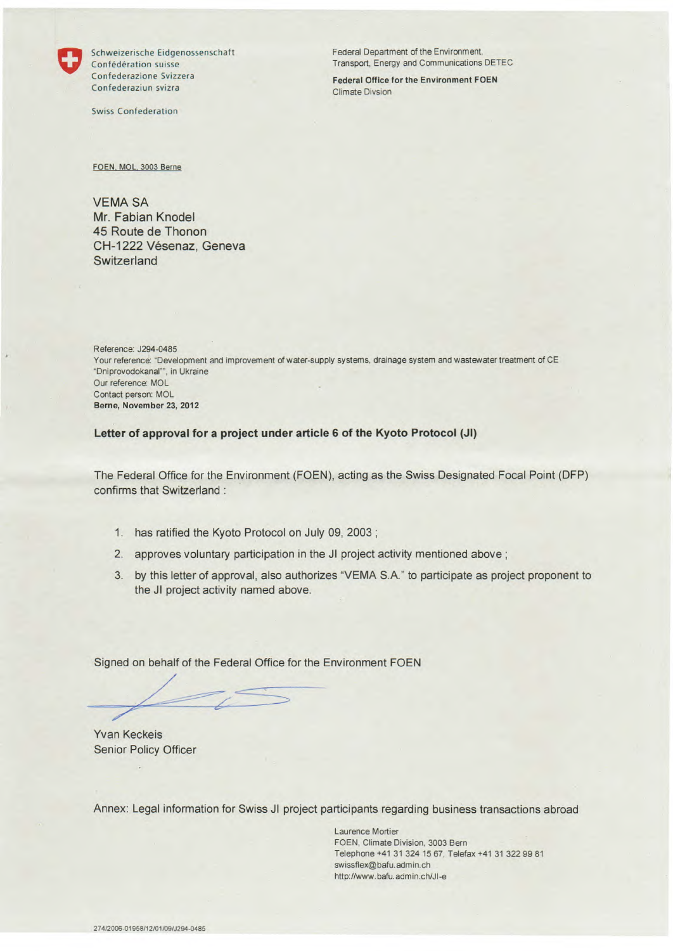

Confederazione Svizzera **Federal Office for** the Environment FOEN Confederaziun svizra Climate Divsion

Swiss Confederation

Schweizerische Eidgenossenschaft Federal Department of the Environment, Confédération suisse Transport, Energy and Communications DETEC

FOEN, MOL. 3003 Berne

VEMA SA Mr. Fabian Knodel 45 Route de Thonon CH-1222 Vésenaz, Geneva **Switzerland** 

Reference: J294-0485 Your reference: "Development and improvement of water-supply systems, drainage system and wastewater treatment of CE "Dniprovodokanal"", in Ukraine Our reference: MOL Contact person: MOL Berne, **November 23, 2012** 

**Letter of approval for a project under article 6 of the Kyoto Protocol (JI)** 

The Federal Office for the Environment (FOEN), acting as the Swiss Designated Focal Point (DFP) confirms that Switzerland :

- 1. has ratified the Kyoto Protocol on July 09, 2003
- 2. approves voluntary participation in the JI project activity mentioned above;
- 3. by this letter of approval, also authorizes 'VEMA S.A." to participate as project proponent to the JI project activity named above.

Signed on behalf of the Federal Office for the Environment FOEN

Yvan Keckeis Senior Policy Officer

Annex: Legal information for Swiss JI project participants regarding business transactions abroad

Laurence Mortier FOEN, Climate Division. 3003 Bern Telephone +41 31 324 15 67. Telefax +41 31 322 99 81 swissflex@bafu.admin.ch http://www. bafu. admin. ch/Jl-e